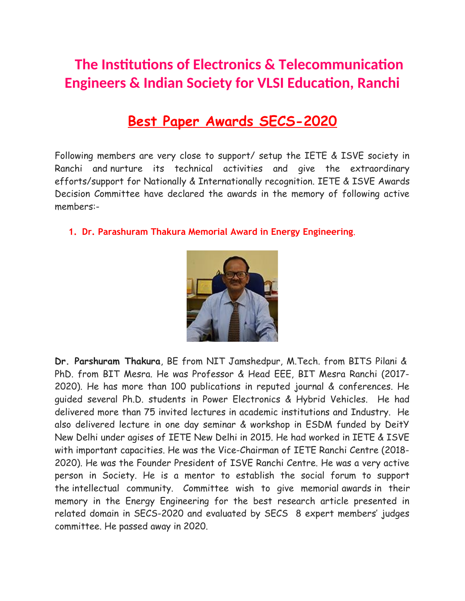## **The Institutions of Electronics & Telecommunication Engineers & Indian Society for VLSI Education, Ranchi**

## **Best Paper Awards SECS-2020**

Following members are very close to support/ setup the IETE & ISVE society in Ranchi and nurture its technical activities and give the extraordinary efforts/support for Nationally & Internationally recognition. IETE & ISVE Awards Decision Committee have declared the awards in the memory of following active members:-

**1. Dr. Parashuram Thakura Memorial Award in Energy Engineering**.



**Dr. Parshuram Thakura**, BE from NIT Jamshedpur, M.Tech. from BITS Pilani & PhD. from BIT Mesra. He was Professor & Head EEE, BIT Mesra Ranchi (2017- 2020). He has more than 100 publications in reputed journal & conferences. He guided several Ph.D. students in Power Electronics & Hybrid Vehicles. He had delivered more than 75 invited lectures in academic institutions and Industry. He also delivered lecture in one day seminar & workshop in ESDM funded by DeitY New Delhi under agises of IETE New Delhi in 2015. He had worked in IETE & ISVE with important capacities. He was the Vice-Chairman of IETE Ranchi Centre (2018- 2020). He was the Founder President of ISVE Ranchi Centre. He was a very active person in Society. He is a mentor to establish the social forum to support the intellectual community. Committee wish to give memorial awards in their memory in the Energy Engineering for the best research article presented in related domain in SECS-2020 and evaluated by SECS 8 expert members' judges committee. He passed away in 2020.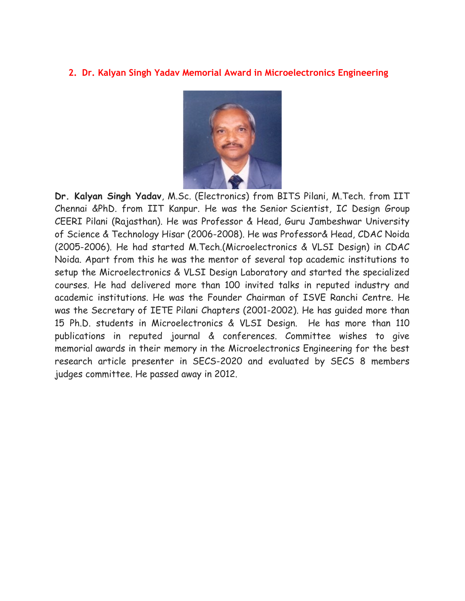## **2. Dr. Kalyan Singh Yadav Memorial Award in Microelectronics Engineering**



**Dr. Kalyan Singh Yadav**, M.Sc. (Electronics) from BITS Pilani, M.Tech. from IIT Chennai &PhD. from IIT Kanpur. He was the Senior Scientist, IC Design Group CEERI Pilani (Rajasthan). He was Professor & Head, Guru Jambeshwar University of Science & Technology Hisar (2006-2008). He was Professor& Head, CDAC Noida (2005-2006). He had started M.Tech.(Microelectronics & VLSI Design) in CDAC Noida. Apart from this he was the mentor of several top academic institutions to setup the Microelectronics & VLSI Design Laboratory and started the specialized courses. He had delivered more than 100 invited talks in reputed industry and academic institutions. He was the Founder Chairman of ISVE Ranchi Centre. He was the Secretary of IETE Pilani Chapters (2001-2002). He has guided more than 15 Ph.D. students in Microelectronics & VLSI Design. He has more than 110 publications in reputed journal & conferences. Committee wishes to give memorial awards in their memory in the Microelectronics Engineering for the best research article presenter in SECS-2020 and evaluated by SECS 8 members judges committee. He passed away in 2012.